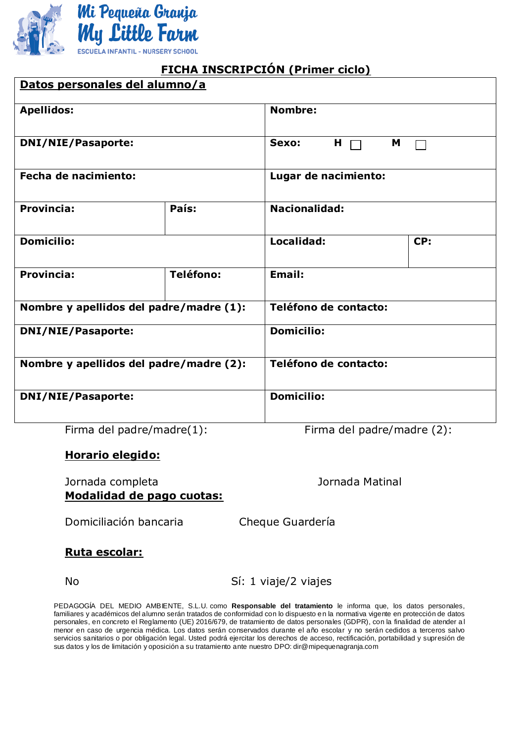

# **FICHA INSCRIPCIÓN (Primer ciclo)**

| Datos personales del alumno/a           |                  |                            |     |  |  |  |
|-----------------------------------------|------------------|----------------------------|-----|--|--|--|
| <b>Apellidos:</b>                       |                  | Nombre:                    |     |  |  |  |
| <b>DNI/NIE/Pasaporte:</b>               |                  | Н<br>M<br>Sexo:            |     |  |  |  |
| Fecha de nacimiento:                    |                  | Lugar de nacimiento:       |     |  |  |  |
| <b>Provincia:</b>                       | País:            | <b>Nacionalidad:</b>       |     |  |  |  |
| <b>Domicilio:</b>                       |                  | Localidad:                 | CP: |  |  |  |
| <b>Provincia:</b>                       | <b>Teléfono:</b> | <b>Email:</b>              |     |  |  |  |
| Nombre y apellidos del padre/madre (1): |                  | Teléfono de contacto:      |     |  |  |  |
| <b>DNI/NIE/Pasaporte:</b>               |                  | <b>Domicilio:</b>          |     |  |  |  |
| Nombre y apellidos del padre/madre (2): |                  | Teléfono de contacto:      |     |  |  |  |
| <b>DNI/NIE/Pasaporte:</b>               |                  | <b>Domicilio:</b>          |     |  |  |  |
| Firma del padre/madre(1):               |                  | Firma del padre/madre (2): |     |  |  |  |

### **Horario elegido:**

Jornada completa Jornada Matinal **Modalidad de pago cuotas:**

Domiciliación bancaria Cheque Guardería

### **Ruta escolar:**

No Sí: 1 viaje/2 viajes

PEDAGOGÍA DEL MEDIO AMBIENTE, S.L.U. como **Responsable del tratamiento** le informa que, los datos personales, familiares y académicos del alumno serán tratados de conformidad con lo dispuesto en la normativa vigente en protección de datos personales, en concreto el Reglamento (UE) 2016/679, de tratamiento de datos personales (GDPR), con la finalidad de atender a l menor en caso de urgencia médica. Los datos serán conservados durante el año escolar y no serán cedidos a terceros salvo servicios sanitarios o por obligación legal. Usted podrá ejercitar los derechos de acceso, rectificación, portabilidad y supresión de sus datos y los de limitación y oposición a su tratamiento ante nuestro DPO: dir@mipequenagranja.com